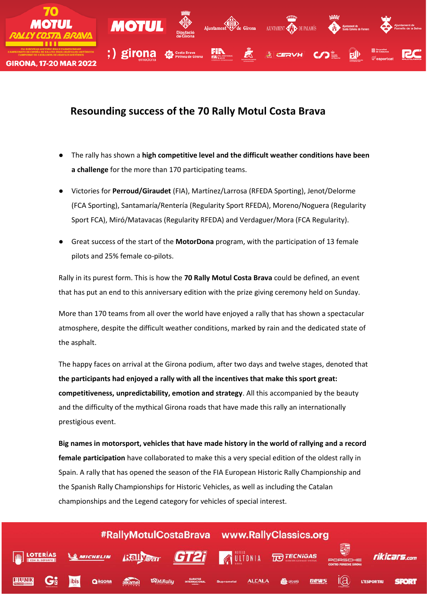

# **Resounding success of the 70 Rally Motul Costa Brava**

- The rally has shown a **high competitive level and the difficult weather conditions have been a challenge** for the more than 170 participating teams.
- Victories for **Perroud/Giraudet** (FIA), Martínez/Larrosa (RFEDA Sporting), Jenot/Delorme (FCA Sporting), Santamaría/Rentería (Regularity Sport RFEDA), Moreno/Noguera (Regularity Sport FCA), Miró/Matavacas (Regularity RFEDA) and Verdaguer/Mora (FCA Regularity).
- Great success of the start of the **MotorDona** program, with the participation of 13 female pilots and 25% female co-pilots.

Rally in its purest form. This is how the **70 Rally Motul Costa Brava** could be defined, an event that has put an end to this anniversary edition with the prize giving ceremony held on Sunday.

More than 170 teams from all over the world have enjoyed a rally that has shown a spectacular atmosphere, despite the difficult weather conditions, marked by rain and the dedicated state of the asphalt.

The happy faces on arrival at the Girona podium, after two days and twelve stages, denoted that **the participants had enjoyed a rally with all the incentives that make this sport great: competitiveness, unpredictability, emotion and strategy**. All this accompanied by the beauty and the difficulty of the mythical Girona roads that have made this rally an internationally prestigious event.

**Big names in motorsport, vehicles that have made history in the world of rallying and a record female participation** have collaborated to make this a very special edition of the oldest rally in Spain. A rally that has opened the season of the FIA European Historic Rally Championship and the Spanish Rally Championships for Historic Vehicles, as well as including the Catalan championships and the Legend category for vehicles of special interest.

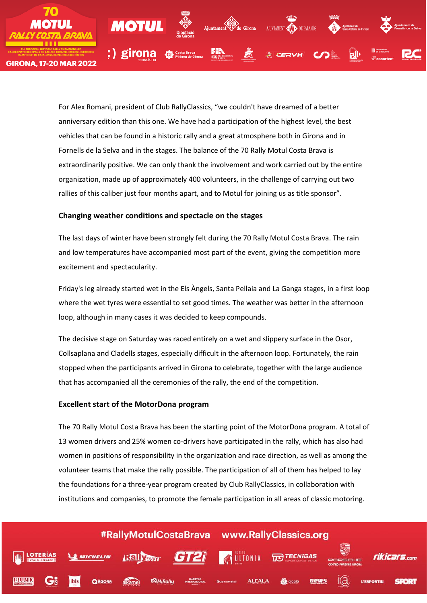

For Alex Romani, president of Club RallyClassics, "we couldn't have dreamed of a better anniversary edition than this one. We have had a participation of the highest level, the best vehicles that can be found in a historic rally and a great atmosphere both in Girona and in Fornells de la Selva and in the stages. The balance of the 70 Rally Motul Costa Brava is extraordinarily positive. We can only thank the involvement and work carried out by the entire organization, made up of approximately 400 volunteers, in the challenge of carrying out two rallies of this caliber just four months apart, and to Motul for joining us as title sponsor".

#### **Changing weather conditions and spectacle on the stages**

The last days of winter have been strongly felt during the 70 Rally Motul Costa Brava. The rain and low temperatures have accompanied most part of the event, giving the competition more excitement and spectacularity.

Friday's leg already started wet in the Els Àngels, Santa Pellaia and La Ganga stages, in a first loop where the wet tyres were essential to set good times. The weather was better in the afternoon loop, although in many cases it was decided to keep compounds.

The decisive stage on Saturday was raced entirely on a wet and slippery surface in the Osor, Collsaplana and Cladells stages, especially difficult in the afternoon loop. Fortunately, the rain stopped when the participants arrived in Girona to celebrate, together with the large audience that has accompanied all the ceremonies of the rally, the end of the competition.

#### **Excellent start of the MotorDona program**

The 70 Rally Motul Costa Brava has been the starting point of the MotorDona program. A total of 13 women drivers and 25% women co-drivers have participated in the rally, which has also had women in positions of responsibility in the organization and race direction, as well as among the volunteer teams that make the rally possible. The participation of all of them has helped to lay the foundations for a three-year program created by Club RallyClassics, in collaboration with institutions and companies, to promote the female participation in all areas of classic motoring.

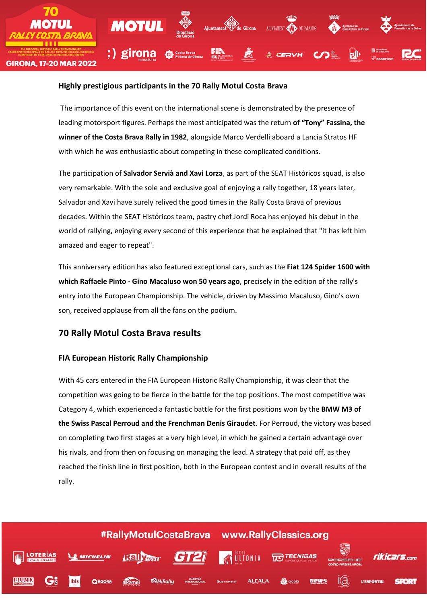

#### **Highly prestigious participants in the 70 Rally Motul Costa Brava**

The importance of this event on the international scene is demonstrated by the presence of leading motorsport figures. Perhaps the most anticipated was the return **of "Tony" Fassina, the winner of the Costa Brava Rally in 1982**, alongside Marco Verdelli aboard a Lancia Stratos HF with which he was enthusiastic about competing in these complicated conditions.

The participation of **Salvador Servià and Xavi Lorza**, as part of the SEAT Históricos squad, is also very remarkable. With the sole and exclusive goal of enjoying a rally together, 18 years later, Salvador and Xavi have surely relived the good times in the Rally Costa Brava of previous decades. Within the SEAT Históricos team, pastry chef Jordi Roca has enjoyed his debut in the world of rallying, enjoying every second of this experience that he explained that "it has left him amazed and eager to repeat".

This anniversary edition has also featured exceptional cars, such as the **Fiat 124 Spider 1600 with which Raffaele Pinto - Gino Macaluso won 50 years ago**, precisely in the edition of the rally's entry into the European Championship. The vehicle, driven by Massimo Macaluso, Gino's own son, received applause from all the fans on the podium.

# **70 Rally Motul Costa Brava results**

## **FIA European Historic Rally Championship**

With 45 cars entered in the FIA European Historic Rally Championship, it was clear that the competition was going to be fierce in the battle for the top positions. The most competitive was Category 4, which experienced a fantastic battle for the first positions won by the **BMW M3 of the Swiss Pascal Perroud and the Frenchman Denis Giraudet**. For Perroud, the victory was based on completing two first stages at a very high level, in which he gained a certain advantage over his rivals, and from then on focusing on managing the lead. A strategy that paid off, as they reached the finish line in first position, both in the European contest and in overall results of the rally.

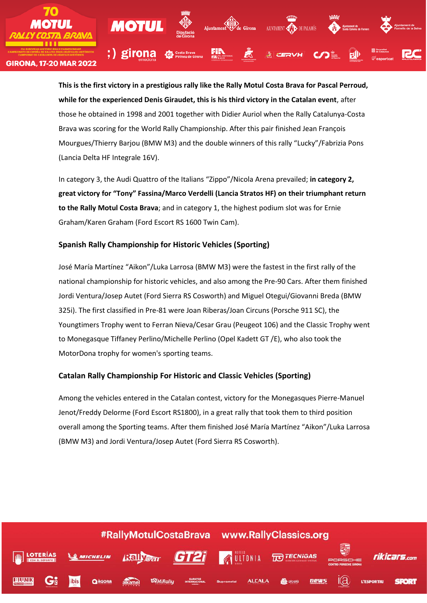

**This is the first victory in a prestigious rally like the Rally Motul Costa Brava for Pascal Perroud, while for the experienced Denis Giraudet, this is his third victory in the Catalan event**, after those he obtained in 1998 and 2001 together with Didier Auriol when the Rally Catalunya-Costa Brava was scoring for the World Rally Championship. After this pair finished Jean François Mourgues/Thierry Barjou (BMW M3) and the double winners of this rally "Lucky"/Fabrizia Pons (Lancia Delta HF Integrale 16V).

In category 3, the Audi Quattro of the Italians "Zippo"/Nicola Arena prevailed; **in category 2, great victory for "Tony" Fassina/Marco Verdelli (Lancia Stratos HF) on their triumphant return to the Rally Motul Costa Brava**; and in category 1, the highest podium slot was for Ernie Graham/Karen Graham (Ford Escort RS 1600 Twin Cam).

## **Spanish Rally Championship for Historic Vehicles (Sporting)**

José María Martínez "Aikon"/Luka Larrosa (BMW M3) were the fastest in the first rally of the national championship for historic vehicles, and also among the Pre-90 Cars. After them finished Jordi Ventura/Josep Autet (Ford Sierra RS Cosworth) and Miguel Otegui/Giovanni Breda (BMW 325i). The first classified in Pre-81 were Joan Riberas/Joan Circuns (Porsche 911 SC), the Youngtimers Trophy went to Ferran Nieva/Cesar Grau (Peugeot 106) and the Classic Trophy went to Monegasque Tiffaney Perlino/Michelle Perlino (Opel Kadett GT /E), who also took the MotorDona trophy for women's sporting teams.

## **Catalan Rally Championship For Historic and Classic Vehicles (Sporting)**

Among the vehicles entered in the Catalan contest, victory for the Monegasques Pierre-Manuel Jenot/Freddy Delorme (Ford Escort RS1800), in a great rally that took them to third position overall among the Sporting teams. After them finished José María Martínez "Aikon"/Luka Larrosa (BMW M3) and Jordi Ventura/Josep Autet (Ford Sierra RS Cosworth).

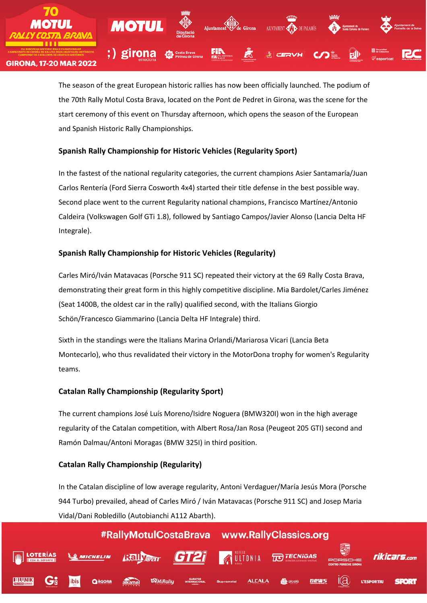

The season of the great European historic rallies has now been officially launched. The podium of the 70th Rally Motul Costa Brava, located on the Pont de Pedret in Girona, was the scene for the start ceremony of this event on Thursday afternoon, which opens the season of the European and Spanish Historic Rally Championships.

# **Spanish Rally Championship for Historic Vehicles (Regularity Sport)**

In the fastest of the national regularity categories, the current champions Asier Santamaría/Juan Carlos Rentería (Ford Sierra Cosworth 4x4) started their title defense in the best possible way. Second place went to the current Regularity national champions, Francisco Martínez/Antonio Caldeira (Volkswagen Golf GTi 1.8), followed by Santiago Campos/Javier Alonso (Lancia Delta HF Integrale).

# **Spanish Rally Championship for Historic Vehicles (Regularity)**

Carles Miró/Iván Matavacas (Porsche 911 SC) repeated their victory at the 69 Rally Costa Brava, demonstrating their great form in this highly competitive discipline. Mia Bardolet/Carles Jiménez (Seat 1400B, the oldest car in the rally) qualified second, with the Italians Giorgio Schön/Francesco Giammarino (Lancia Delta HF Integrale) third.

Sixth in the standings were the Italians Marina Orlandi/Mariarosa Vicari (Lancia Beta Montecarlo), who thus revalidated their victory in the MotorDona trophy for women's Regularity teams.

# **Catalan Rally Championship (Regularity Sport)**

The current champions José Luís Moreno/Isidre Noguera (BMW320I) won in the high average regularity of the Catalan competition, with Albert Rosa/Jan Rosa (Peugeot 205 GTI) second and Ramón Dalmau/Antoni Moragas (BMW 325I) in third position.

# **Catalan Rally Championship (Regularity)**

In the Catalan discipline of low average regularity, Antoni Verdaguer/María Jesús Mora (Porsche 944 Turbo) prevailed, ahead of Carles Miró / Iván Matavacas (Porsche 911 SC) and Josep Maria Vidal/Dani Robledillo (Autobianchi A112 Abarth).